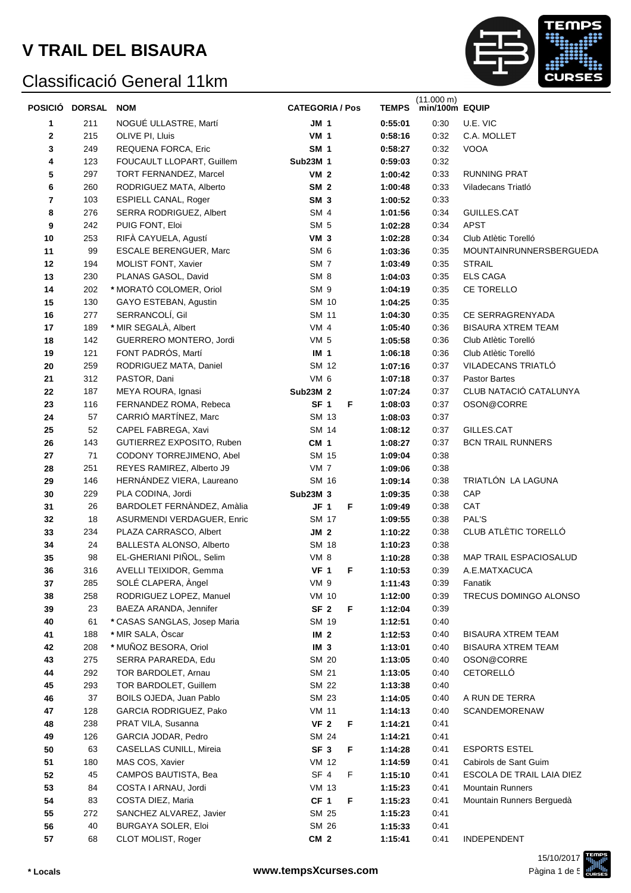#### Classificació General 11km



|    | POSICIÓ DORSAL | <b>NOM</b>                    | <b>CATEGORIA / Pos</b> | <b>TEMPS</b> | $(11.000 \text{ m})$<br>min/100m EQUIP |                                |
|----|----------------|-------------------------------|------------------------|--------------|----------------------------------------|--------------------------------|
| 1  | 211            | NOGUÉ ULLASTRE, Martí         | <b>JM 1</b>            | 0:55:01      | 0:30                                   | U.E. VIC                       |
| 2  | 215            | OLIVE PI, Lluis               | <b>VM 1</b>            | 0:58:16      | 0:32                                   | C.A. MOLLET                    |
| 3  | 249            | REQUENA FORCA, Eric           | <b>SM 1</b>            | 0:58:27      | 0:32                                   | VOOA                           |
| 4  | 123            | FOUCAULT LLOPART, Guillem     | <b>Sub23M 1</b>        | 0:59:03      | 0:32                                   |                                |
| 5  | 297            | TORT FERNANDEZ, Marcel        | VM <sub>2</sub>        | 1:00:42      | 0:33                                   | <b>RUNNING PRAT</b>            |
| 6  | 260            | RODRIGUEZ MATA, Alberto       | SM <sub>2</sub>        | 1:00:48      | 0:33                                   | Viladecans Triatló             |
| 7  | 103            | <b>ESPIELL CANAL, Roger</b>   | SM <sub>3</sub>        | 1:00:52      | 0:33                                   |                                |
| 8  | 276            | SERRA RODRIGUEZ, Albert       | SM <sub>4</sub>        | 1:01:56      | 0:34                                   | GUILLES.CAT                    |
| 9  | 242            | PUIG FONT, Eloi               | SM <sub>5</sub>        | 1:02:28      | 0:34                                   | <b>APST</b>                    |
| 10 | 253            | RIFÀ CAYUELA, Agustí          | <b>VM 3</b>            | 1:02:28      | 0:34                                   | Club Atlètic Torelló           |
| 11 | 99             | <b>ESCALE BERENGUER, Marc</b> | SM <sub>6</sub>        | 1:03:36      | 0:35                                   | <b>MOUNTAINRUNNERSBERGUEDA</b> |
| 12 | 194            | MOLIST FONT, Xavier           | SM <sub>7</sub>        | 1:03:49      | 0:35                                   | <b>STRAIL</b>                  |
| 13 | 230            | PLANAS GASOL, David           | SM <sub>8</sub>        | 1:04:03      | 0:35                                   | <b>ELS CAGA</b>                |
| 14 | 202            | * MORATÓ COLOMER, Oriol       | SM <sub>9</sub>        | 1:04:19      | 0:35                                   | CE TORELLO                     |
| 15 | 130            | GAYO ESTEBAN, Agustin         | SM 10                  | 1:04:25      | 0:35                                   |                                |
| 16 | 277            | SERRANCOLÍ, Gil               | <b>SM 11</b>           | 1:04:30      | 0:35                                   | CE SERRAGRENYADA               |
| 17 | 189            | * MIR SEGALÀ, Albert          | VM <sub>4</sub>        | 1:05:40      | 0:36                                   | <b>BISAURA XTREM TEAM</b>      |
| 18 | 142            | GUERRERO MONTERO, Jordi       | VM <sub>5</sub>        | 1:05:58      | 0:36                                   | Club Atlètic Torelló           |
| 19 | 121            | FONT PADRÓS, Martí            | IM <sub>1</sub>        | 1:06:18      | 0:36                                   | Club Atlètic Torelló           |
| 20 | 259            | RODRIGUEZ MATA, Daniel        | SM 12                  | 1:07:16      | 0:37                                   | VILADECANS TRIATLÓ             |
| 21 | 312            | PASTOR, Dani                  | VM 6                   | 1:07:18      | 0:37                                   | <b>Pastor Bartes</b>           |
| 22 | 187            | MEYA ROURA, Ignasi            | <b>Sub23M 2</b>        | 1:07:24      | 0:37                                   | CLUB NATACIÓ CATALUNYA         |
| 23 | 116            | FERNANDEZ ROMA, Rebeca        | SF <sub>1</sub><br>F   | 1:08:03      | 0:37                                   | OSON@CORRE                     |
| 24 | 57             | CARRIÓ MARTÍNEZ, Marc         | SM 13                  | 1:08:03      | 0:37                                   |                                |
| 25 | 52             | CAPEL FABREGA, Xavi           | SM 14                  | 1:08:12      | 0:37                                   | GILLES.CAT                     |
| 26 | 143            | GUTIERREZ EXPOSITO, Ruben     | CM <sub>1</sub>        | 1:08:27      | 0:37                                   | <b>BCN TRAIL RUNNERS</b>       |
| 27 | 71             | CODONY TORREJIMENO, Abel      | SM 15                  | 1:09:04      | 0:38                                   |                                |
| 28 | 251            | REYES RAMIREZ, Alberto J9     | VM <sub>7</sub>        | 1:09:06      | 0:38                                   |                                |
| 29 | 146            | HERNÁNDEZ VIERA, Laureano     | SM 16                  | 1:09:14      | 0:38                                   | TRIATLÓN LA LAGUNA             |
| 30 | 229            | PLA CODINA, Jordi             | Sub23M 3               | 1:09:35      | 0:38                                   | CAP                            |
| 31 | 26             | BARDOLET FERNÀNDEZ, Amàlia    | $JF$ 1<br>F            | 1:09:49      | 0:38                                   | CAT                            |
| 32 | 18             | ASURMENDI VERDAGUER, Enric    | SM 17                  | 1:09:55      | 0:38                                   | PAL'S                          |
| 33 | 234            | PLAZA CARRASCO, Albert        | JM <sub>2</sub>        | 1:10:22      | 0:38                                   | CLUB ATLÈTIC TORELLÓ           |
| 34 | 24             | BALLESTA ALONSO, Alberto      | <b>SM 18</b>           | 1:10:23      | 0:38                                   |                                |
| 35 | 98             | EL-GHERIANI PIÑOL, Selim      | VM 8                   | 1:10:28      | 0:38                                   | <b>MAP TRAIL ESPACIOSALUD</b>  |
| 36 | 316            | AVELLI TEIXIDOR, Gemma        | VF 1<br>F              | 1:10:53      | 0:39                                   | A.E.MATXACUCA                  |
| 37 | 285            | SOLÉ CLAPERA, Àngel           | VM 9                   | 1:11:43      | 0:39                                   | Fanatik                        |
| 38 | 258            | RODRIGUEZ LOPEZ, Manuel       | VM 10                  | 1:12:00      | 0:39                                   | TRECUS DOMINGO ALONSO          |
| 39 | 23             | BAEZA ARANDA, Jennifer        | SF <sub>2</sub><br>F   | 1:12:04      | 0:39                                   |                                |
| 40 | 61             | * CASAS SANGLAS, Josep Maria  | SM 19                  | 1:12:51      | 0:40                                   |                                |
| 41 | 188            | * MIR SALA, Öscar             | IM <sub>2</sub>        | 1:12:53      | 0:40                                   | <b>BISAURA XTREM TEAM</b>      |
| 42 | 208            | * MUÑOZ BESORA, Oriol         | IM <sub>3</sub>        | 1:13:01      | 0:40                                   | <b>BISAURA XTREM TEAM</b>      |
| 43 | 275            | SERRA PARAREDA, Edu           | SM 20                  | 1:13:05      | 0:40                                   | OSON@CORRE                     |
| 44 | 292            | TOR BARDOLET, Arnau           | SM 21                  | 1:13:05      | 0:40                                   | CETORELLO                      |
| 45 | 293            | TOR BARDOLET, Guillem         | SM 22                  | 1:13:38      | 0:40                                   |                                |
| 46 | 37             | BOILS OJEDA, Juan Pablo       | SM 23                  | 1:14:05      | 0:40                                   | A RUN DE TERRA                 |
| 47 | 128            | GARCIA RODRIGUEZ, Pako        | <b>VM 11</b>           | 1:14:13      | 0:40                                   | SCANDEMORENAW                  |
| 48 | 238            | PRAT VILA, Susanna            | VF <sub>2</sub><br>F   | 1:14:21      | 0:41                                   |                                |
| 49 | 126            | GARCIA JODAR, Pedro           | SM 24                  | 1:14:21      | 0:41                                   |                                |
| 50 | 63             | CASELLAS CUNILL, Mireia       | SF <sub>3</sub><br>F   | 1:14:28      | 0:41                                   | <b>ESPORTS ESTEL</b>           |
| 51 | 180            | MAS COS, Xavier               | VM 12                  | 1:14:59      | 0:41                                   | Cabirols de Sant Guim          |
| 52 | 45             | CAMPOS BAUTISTA, Bea          | SF <sub>4</sub><br>F   | 1:15:10      | 0:41                                   | ESCOLA DE TRAIL LAIA DIEZ      |
| 53 | 84             | COSTA I ARNAU, Jordi          | VM 13                  | 1:15:23      | 0:41                                   | <b>Mountain Runners</b>        |
| 54 | 83             | COSTA DIEZ, Maria             | CF <sub>1</sub><br>F   | 1:15:23      | 0:41                                   | Mountain Runners Berguedà      |
| 55 | 272            | SANCHEZ ALVAREZ, Javier       | SM 25                  | 1:15:23      | 0:41                                   |                                |
| 56 | 40             | BURGAYA SOLER, Eloi           | SM 26                  | 1:15:33      | 0:41                                   |                                |
| 57 | 68             | CLOT MOLIST, Roger            | CM <sub>2</sub>        | 1:15:41      | 0:41                                   | INDEPENDENT                    |

15/10/2017<br>Pàgina 1 de 5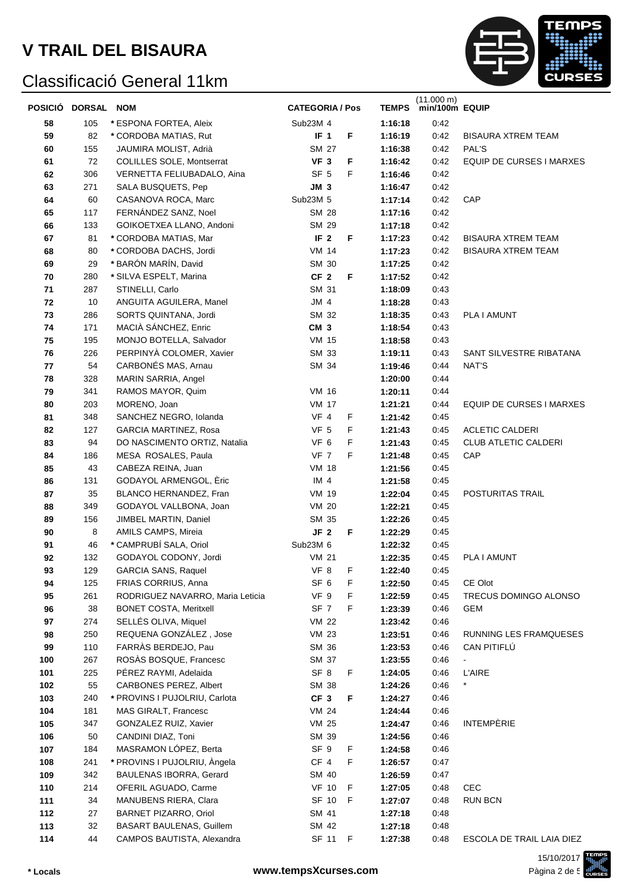

| POSICIÓ DORSAL NOM |            |                                                         | <b>CATEGORIA / Pos</b>  |        | <b>TEMPS</b>       | (11.000 m)<br>min/100m EQUIP |                                  |
|--------------------|------------|---------------------------------------------------------|-------------------------|--------|--------------------|------------------------------|----------------------------------|
| 58                 | 105        | * ESPONA FORTEA, Aleix                                  | Sub23M 4                |        | 1:16:18            | 0:42                         |                                  |
| 59                 | 82         | * CORDOBA MATIAS, Rut                                   | IF <sub>1</sub>         | F      | 1:16:19            | 0:42                         | <b>BISAURA XTREM TEAM</b>        |
| 60                 | 155        | JAUMIRA MOLIST, Adrià                                   | SM 27                   |        | 1:16:38            | 0:42                         | PAL'S                            |
| 61                 | 72         | <b>COLILLES SOLE, Montserrat</b>                        | VF <sub>3</sub>         | F      | 1:16:42            | 0:42                         | EQUIP DE CURSES I MARXES         |
| 62                 | 306        | VERNETTA FELIUBADALO, Aina                              | SF <sub>5</sub>         | F      | 1:16:46            | 0:42                         |                                  |
| 63                 | 271        | SALA BUSQUETS, Pep                                      | JM 3                    |        | 1:16:47            | 0:42                         |                                  |
| 64                 | 60         | CASANOVA ROCA, Marc                                     | Sub23M 5                |        | 1:17:14            | 0:42                         | CAP                              |
| 65                 | 117        | FERNÁNDEZ SANZ, Noel                                    | <b>SM 28</b>            |        | 1:17:16            | 0:42                         |                                  |
| 66                 | 133        | GOIKOETXEA LLANO, Andoni                                | SM 29                   |        | 1:17:18            | 0:42                         |                                  |
| 67                 | 81         | * CORDOBA MATIAS, Mar                                   | IF <sub>2</sub>         | F      | 1:17:23            | 0:42                         | <b>BISAURA XTREM TEAM</b>        |
| 68                 | 80         | * CORDOBA DACHS, Jordi                                  | <b>VM 14</b>            |        | 1:17:23            | 0:42                         | <b>BISAURA XTREM TEAM</b>        |
| 69                 | 29         | * BARÓN MARÍN, David                                    | SM 30                   |        | 1:17:25            | 0:42                         |                                  |
| 70                 | 280        | * SILVA ESPELT, Marina                                  | CF <sub>2</sub>         | F      | 1:17:52            | 0:42                         |                                  |
| 71                 | 287        | STINELLI, Carlo                                         | SM 31                   |        | 1:18:09            | 0:43                         |                                  |
| 72                 | 10         | ANGUITA AGUILERA, Manel                                 | $JM$ 4                  |        | 1:18:28            | 0:43                         |                                  |
| 73                 | 286        | SORTS QUINTANA, Jordi                                   | SM 32                   |        | 1:18:35            | 0:43                         | PLA I AMUNT                      |
| 74                 | 171        | MACIÀ SÁNCHEZ, Enric                                    | CM <sub>3</sub>         |        | 1:18:54            | 0:43                         |                                  |
| 75                 | 195        | MONJO BOTELLA, Salvador                                 | <b>VM 15</b>            |        | 1:18:58            | 0:43                         |                                  |
| 76                 | 226        | PERPINYÀ COLOMER, Xavier                                | SM 33                   |        | 1:19:11            | 0:43                         | SANT SILVESTRE RIBATANA          |
| 77                 | 54         | CARBONÉS MAS, Arnau                                     | SM 34                   |        | 1:19:46            | 0:44                         | NAT'S                            |
| 78                 | 328        | MARIN SARRIA, Angel                                     |                         |        | 1:20:00            | 0:44                         |                                  |
| 79                 | 341        | RAMOS MAYOR, Quim                                       | <b>VM 16</b>            |        | 1:20:11            | 0:44                         |                                  |
| 80                 | 203        | MORENO, Joan                                            | <b>VM 17</b>            |        | 1:21:21            | 0:44                         | EQUIP DE CURSES I MARXES         |
| 81                 | 348        | SANCHEZ NEGRO, Iolanda                                  | VF 4                    | F      | 1:21:42            | 0:45                         |                                  |
| 82                 | 127        | <b>GARCIA MARTINEZ, Rosa</b>                            | VF <sub>5</sub>         | F      | 1:21:43            | 0:45                         | <b>ACLETIC CALDERI</b>           |
| 83                 | 94         | DO NASCIMENTO ORTIZ, Natalia                            | VF 6                    | F      | 1:21:43            | 0:45                         | <b>CLUB ATLETIC CALDERI</b>      |
| 84                 | 186        | MESA ROSALES, Paula                                     | VF 7                    | F      | 1:21:48            | 0:45                         | CAP                              |
| 85                 | 43         | CABEZA REINA, Juan                                      | <b>VM 18</b>            |        | 1:21:56            | 0:45                         |                                  |
| 86                 | 131        | GODAYOL ARMENGOL, Eric                                  | IM <sub>4</sub>         |        | 1:21:58            | 0:45                         |                                  |
| 87                 | 35         | BLANCO HERNANDEZ, Fran                                  | <b>VM 19</b>            |        | 1:22:04            | 0:45                         | POSTURITAS TRAIL                 |
| 88                 | 349        | GODAYOL VALLBONA, Joan                                  | <b>VM 20</b>            |        | 1:22:21            | 0:45                         |                                  |
| 89                 | 156        | JIMBEL MARTIN, Daniel                                   | SM 35                   |        | 1:22:26            | 0:45                         |                                  |
| 90                 | 8          | AMILS CAMPS, Mireia                                     | JF <sub>2</sub>         | F      | 1:22:29            | 0:45                         |                                  |
| 91                 | 46         | * CAMPRUBÍ SALA, Oriol                                  | Sub23M 6                |        | 1:22:32            | 0:45                         |                                  |
| 92                 | 132        | GODAYOL CODONY, Jordi                                   | <b>VM 21</b>            |        | 1:22:35            | 0:45                         | PLA I AMUNT                      |
| 93                 | 129        | <b>GARCIA SANS, Raquel</b>                              | VF 8                    | F      | 1:22:40<br>1:22:50 | 0:45                         |                                  |
| 94<br>95           | 125<br>261 | FRIAS CORRIUS, Anna<br>RODRIGUEZ NAVARRO, Maria Leticia | SF <sub>6</sub><br>VF 9 | F<br>F | 1:22:59            | 0:45<br>0:45                 | CE Olot<br>TRECUS DOMINGO ALONSO |
| 96                 | 38         | <b>BONET COSTA, Meritxell</b>                           | SF <sub>7</sub>         | F      | 1:23:39            | 0:46                         | GEM                              |
| 97                 | 274        | SELLÉS OLIVA, Miquel                                    | <b>VM 22</b>            |        | 1:23:42            | 0:46                         |                                  |
| 98                 | 250        | REQUENA GONZÁLEZ, Jose                                  | <b>VM 23</b>            |        | 1:23:51            | 0:46                         | RUNNING LES FRAMQUESES           |
| 99                 | 110        | FARRÀS BERDEJO, Pau                                     | SM 36                   |        | 1:23:53            | 0:46                         | CAN PITIFLÚ                      |
| 100                | 267        | ROSÀS BOSQUE, Francesc                                  | SM 37                   |        | 1:23:55            | 0:46                         | $\blacksquare$                   |
| 101                | 225        | PÉREZ RAYMI, Adelaida                                   | SF <sub>8</sub>         | F.     | 1:24:05            | 0:46                         | <b>L'AIRE</b>                    |
| 102                | 55         | <b>CARBONES PEREZ, Albert</b>                           | SM 38                   |        | 1:24:26            | 0:46                         | $\star$                          |
| 103                | 240        | * PROVINS I PUJOLRIU, Carlota                           | CF <sub>3</sub>         | F      | 1:24:27            | 0:46                         |                                  |
| 104                | 181        | MAS GIRALT, Francesc                                    | VM 24                   |        | 1:24:44            | 0:46                         |                                  |
| 105                | 347        | GONZALEZ RUIZ, Xavier                                   | <b>VM 25</b>            |        | 1:24:47            | 0:46                         | <b>INTEMPÈRIE</b>                |
| 106                | 50         | CANDINI DIAZ, Toni                                      | SM 39                   |        | 1:24:56            | 0:46                         |                                  |
| 107                | 184        | MASRAMON LÓPEZ, Berta                                   | SF 9                    | F      | 1:24:58            | 0:46                         |                                  |
| 108                | 241        | * PROVINS I PUJOLRIU, Àngela                            | CF 4                    | F.     | 1:26:57            | 0:47                         |                                  |
| 109                | 342        | <b>BAULENAS IBORRA, Gerard</b>                          | SM 40                   |        | 1:26:59            | 0:47                         |                                  |
| 110                | 214        | OFERIL AGUADO, Carme                                    | <b>VF 10</b>            | - F    | 1:27:05            | 0:48                         | <b>CEC</b>                       |
| 111                | 34         | MANUBENS RIERA, Clara                                   | SF 10 F                 |        | 1:27:07            | 0:48                         | <b>RUN BCN</b>                   |
| 112                | 27         | <b>BARNET PIZARRO, Oriol</b>                            | SM 41                   |        | 1:27:18            | 0:48                         |                                  |
| 113                | 32         | <b>BASART BAULENAS, Guillem</b>                         | SM 42                   |        | 1:27:18            | 0:48                         |                                  |
| 114                | 44         | CAMPOS BAUTISTA, Alexandra                              | SF 11 F                 |        | 1:27:38            | 0:48                         | ESCOLA DE TRAIL LAIA DIEZ        |

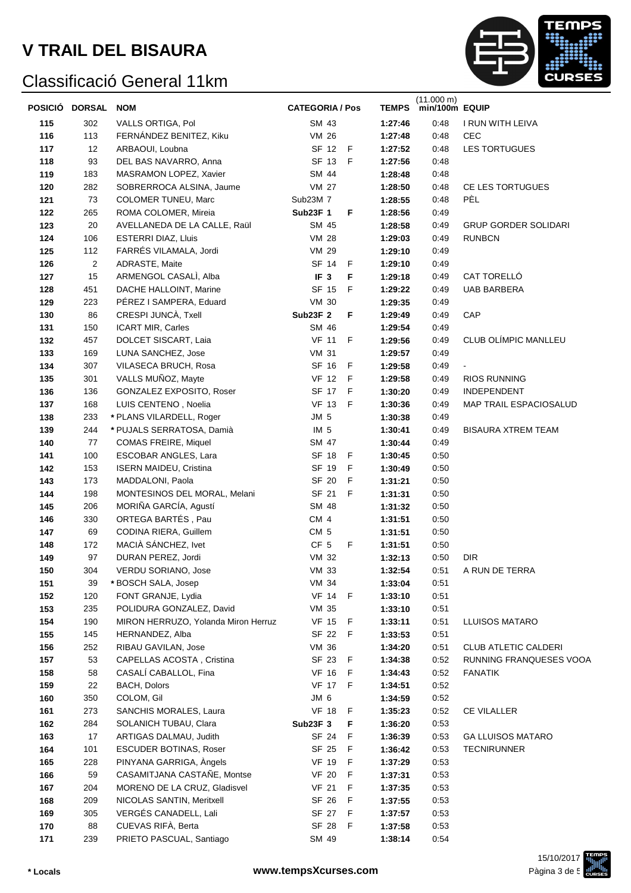

|            | POSICIÓ DORSAL | <b>NOM</b>                                       | <b>CATEGORIA / Pos</b> |             |                    | (11.000 m)<br>TEMPS min/100m EQUIP |                             |
|------------|----------------|--------------------------------------------------|------------------------|-------------|--------------------|------------------------------------|-----------------------------|
| 115        | 302            | VALLS ORTIGA, Pol                                | SM 43                  |             | 1:27:46            | 0:48                               | I RUN WITH LEIVA            |
| 116        | 113            | FERNÁNDEZ BENITEZ, Kiku                          | VM 26                  |             | 1:27:48            | 0:48                               | <b>CEC</b>                  |
| 117        | 12             | ARBAOUI, Loubna                                  | SF 12                  | $-F$        | 1:27:52            | 0:48                               | <b>LES TORTUGUES</b>        |
| 118        | 93             | DEL BAS NAVARRO, Anna                            | SF 13                  | E           | 1:27:56            | 0:48                               |                             |
| 119        | 183            | MASRAMON LOPEZ, Xavier                           | SM 44                  |             | 1:28:48            | 0:48                               |                             |
| 120        | 282            | SOBRERROCA ALSINA, Jaume                         | <b>VM 27</b>           |             | 1:28:50            | 0:48                               | CE LES TORTUGUES            |
| 121        | 73             | <b>COLOMER TUNEU, Marc</b>                       | Sub23M 7               |             | 1:28:55            | 0:48                               | PÈL                         |
| 122        | 265            | ROMA COLOMER, Mireia                             | <b>Sub23F 1</b>        | F           | 1:28:56            | 0:49                               |                             |
| 123        | 20             | AVELLANEDA DE LA CALLE, Raül                     | SM 45                  |             | 1:28:58            | 0:49                               | <b>GRUP GORDER SOLIDARI</b> |
| 124        | 106            | <b>ESTERRI DIAZ, Lluis</b>                       | <b>VM 28</b>           |             | 1:29:03            | 0:49                               | <b>RUNBCN</b>               |
| 125        | 112            | FARRÉS VILAMALA, Jordi                           | <b>VM 29</b>           |             | 1:29:10            | 0:49                               |                             |
| 126        | $\overline{c}$ | ADRASTE, Maite                                   | SF 14                  | F           | 1:29:10            | 0:49                               |                             |
| 127        | 15             | ARMENGOL CASALI, Alba                            | IF <sub>3</sub>        | F           | 1:29:18            | 0:49                               | CAT TORELLÓ                 |
| 128        | 451            | DACHE HALLOINT, Marine                           | SF 15                  | F           | 1:29:22            | 0:49                               | <b>UAB BARBERA</b>          |
| 129        | 223            | PÉREZ I SAMPERA, Eduard                          | <b>VM 30</b>           |             | 1:29:35            | 0:49                               |                             |
| 130        | 86             | CRESPI JUNCÀ, Txell                              | <b>Sub23F 2</b>        | F           | 1:29:49            | 0:49                               | CAP                         |
| 131        | 150            | ICART MIR, Carles                                | SM 46                  |             | 1:29:54            | 0:49                               |                             |
| 132        | 457            | DOLCET SISCART, Laia                             | <b>VF 11</b>           | $\mathsf F$ | 1:29:56            | 0:49                               | CLUB OLÍMPIC MANLLEU        |
| 133        | 169            | LUNA SANCHEZ, Jose                               | <b>VM 31</b>           |             | 1:29:57            | 0:49                               |                             |
| 134        | 307            | VILASECA BRUCH, Rosa                             | SF 16                  | $\mathsf F$ | 1:29:58            | 0:49                               |                             |
| 135        | 301            | VALLS MUÑOZ, Mayte                               | <b>VF 12</b>           | - F         | 1:29:58            | 0:49                               | <b>RIOS RUNNING</b>         |
| 136        | 136            | GONZALEZ EXPOSITO, Roser                         | SF 17                  | F           | 1:30:20            | 0:49                               | <b>INDEPENDENT</b>          |
| 137        | 168            | LUIS CENTENO, Noelia                             | <b>VF 13</b>           | F           | 1:30:36            | 0:49                               | MAP TRAIL ESPACIOSALUD      |
| 138        | 233            | * PLANS VILARDELL, Roger                         | JM <sub>5</sub>        |             | 1:30:38            | 0:49                               |                             |
| 139        | 244            | * PUJALS SERRATOSA, Damià                        | IM <sub>5</sub>        |             | 1:30:41            | 0:49                               | <b>BISAURA XTREM TEAM</b>   |
| 140        | 77             | <b>COMAS FREIRE, Miquel</b>                      | SM 47                  |             | 1:30:44            | 0:49                               |                             |
| 141        | 100            | ESCOBAR ANGLES, Lara                             | SF 18                  | F           | 1:30:45            | 0:50                               |                             |
| 142        | 153<br>173     | <b>ISERN MAIDEU, Cristina</b>                    | SF 19<br>SF 20         | F<br>F      | 1:30:49            | 0:50<br>0:50                       |                             |
| 143<br>144 | 198            | MADDALONI, Paola<br>MONTESINOS DEL MORAL, Melani | SF 21                  | F           | 1:31:21<br>1:31:31 | 0:50                               |                             |
| 145        | 206            | MORIÑA GARCÍA, Agustí                            | SM 48                  |             | 1:31:32            | 0:50                               |                             |
| 146        | 330            | ORTEGA BARTÉS, Pau                               | CM 4                   |             | 1:31:51            | 0:50                               |                             |
| 147        | 69             | CODINA RIERA, Guillem                            | CM <sub>5</sub>        |             | 1:31:51            | 0:50                               |                             |
| 148        | 172            | MACIÀ SÁNCHEZ, Ivet                              | CF <sub>5</sub>        | F           | 1:31:51            | 0:50                               |                             |
| 149        | 97             | DURAN PEREZ, Jordi                               | VM 32                  |             | 1:32:13            | 0:50                               | <b>DIR</b>                  |
| 150        | 304            | VERDU SORIANO, Jose                              | <b>VM 33</b>           |             | 1:32:54            | 0:51                               | A RUN DE TERRA              |
| 151        | 39             | * BOSCH SALA, Josep                              | VM 34                  |             | 1:33:04            | 0:51                               |                             |
| 152        | 120            | FONT GRANJE, Lydia                               | <b>VF 14</b>           | -F          | 1:33:10            | 0:51                               |                             |
| 153        | 235            | POLIDURA GONZALEZ, David                         | <b>VM 35</b>           |             | 1:33:10            | 0:51                               |                             |
| 154        | 190            | MIRON HERRUZO, Yolanda Miron Herruz              | <b>VF 15</b>           | F           | 1:33:11            | 0:51                               | LLUISOS MATARO              |
| 155        | 145            | HERNANDEZ, Alba                                  | SF 22                  | F           | 1:33:53            | 0:51                               |                             |
| 156        | 252            | RIBAU GAVILAN, Jose                              | VM 36                  |             | 1:34:20            | 0:51                               | <b>CLUB ATLETIC CALDERI</b> |
| 157        | 53             | CAPELLAS ACOSTA, Cristina                        | SF 23                  | F           | 1:34:38            | 0:52                               | RUNNING FRANQUESES VOOA     |
| 158        | 58             | CASALÍ CABALLOL, Fina                            | <b>VF 16</b>           | F           | 1:34:43            | 0:52                               | <b>FANATIK</b>              |
| 159        | 22             | <b>BACH, Dolors</b>                              | <b>VF 17</b>           | F           | 1:34:51            | 0:52                               |                             |
| 160        | 350            | COLOM, Gil                                       | JM 6                   |             | 1:34:59            | 0:52                               |                             |
| 161        | 273            | SANCHIS MORALES, Laura                           | <b>VF 18</b>           | F           | 1:35:23            | 0:52                               | <b>CE VILALLER</b>          |
| 162        | 284            | SOLANICH TUBAU, Clara                            | <b>Sub23F 3</b>        | F           | 1:36:20            | 0:53                               |                             |
| 163        | 17             | ARTIGAS DALMAU, Judith                           | SF 24                  | F           | 1:36:39            | 0:53                               | <b>GA LLUISOS MATARO</b>    |
| 164        | 101            | ESCUDER BOTINAS, Roser                           | SF 25                  | F           | 1:36:42            | 0:53                               | <b>TECNIRUNNER</b>          |
| 165        | 228            | PINYANA GARRIGA, Angels                          | <b>VF 19</b>           | F           | 1:37:29            | 0:53                               |                             |
| 166        | 59             | CASAMITJANA CASTAÑE, Montse                      | <b>VF 20</b>           | F           | 1:37:31            | 0:53                               |                             |
| 167        | 204            | MORENO DE LA CRUZ, Gladisvel                     | VF 21                  | F           | 1:37:35            | 0:53                               |                             |
| 168        | 209            | NICOLAS SANTIN, Meritxell                        | SF 26                  | F           | 1:37:55            | 0:53                               |                             |
| 169        | 305            | VERGÉS CANADELL, Lali                            | SF 27                  | F           | 1:37:57            | 0:53                               |                             |
| 170        | 88             | CUEVAS RIFÀ, Berta                               | SF 28                  | F           | 1:37:58            | 0:53                               |                             |
| 171        | 239            | PRIETO PASCUAL, Santiago                         | SM 49                  |             | 1:38:14            | 0:54                               |                             |

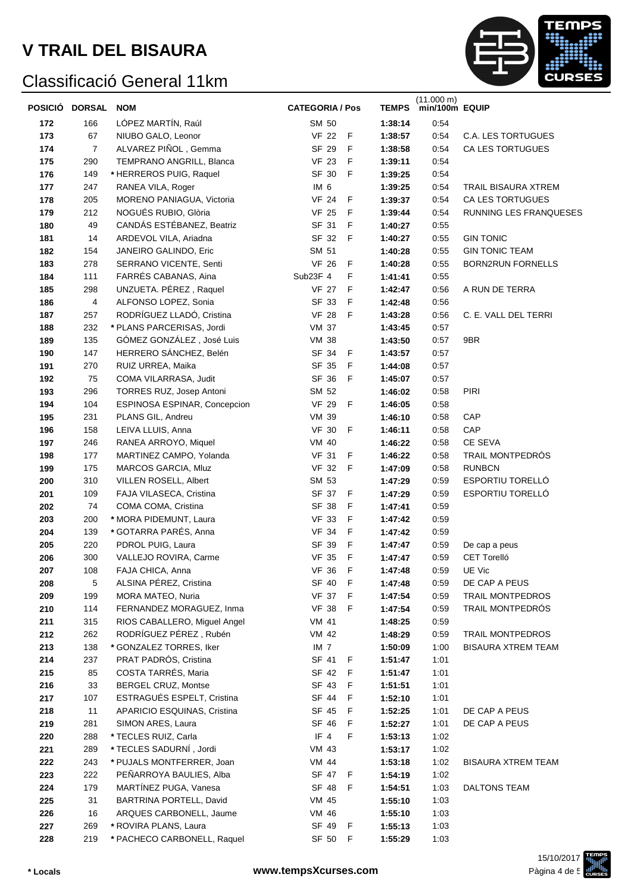

| POSICIÓ DORSAL |                | <b>NOM</b>                                    | <b>CATEGORIA / Pos</b> |             | <b>TEMPS</b>       | $(11.000 \text{ m})$<br>min/100m EQUIP |                           |
|----------------|----------------|-----------------------------------------------|------------------------|-------------|--------------------|----------------------------------------|---------------------------|
| 172            | 166            | LÓPEZ MARTÍN, Raúl                            | SM 50                  |             | 1:38:14            | 0:54                                   |                           |
| 173            | 67             | NIUBO GALO, Leonor                            | <b>VF 22</b>           | F           | 1:38:57            | 0:54                                   | C.A. LES TORTUGUES        |
| 174            | $\overline{7}$ | ALVAREZ PIÑOL, Gemma                          | SF 29                  | $\mathsf F$ | 1:38:58            | 0:54                                   | CA LES TORTUGUES          |
| 175            | 290            | TEMPRANO ANGRILL, Blanca                      | <b>VF 23</b>           | $\mathsf F$ | 1:39:11            | 0:54                                   |                           |
| 176            | 149            | * HERREROS PUIG, Raquel                       | SF 30                  | F           | 1:39:25            | 0:54                                   |                           |
| 177            | 247            | RANEA VILA, Roger                             | IM <sub>6</sub>        |             | 1:39:25            | 0:54                                   | TRAIL BISAURA XTREM       |
| 178            | 205            | MORENO PANIAGUA, Victoria                     | <b>VF 24</b>           | F           | 1:39:37            | 0:54                                   | CA LES TORTUGUES          |
| 179            | 212            | NOGUÉS RUBIO, Glòria                          | <b>VF 25</b>           | F           | 1:39:44            | 0:54                                   | RUNNING LES FRANQUESES    |
| 180            | 49             | CANDÁS ESTÉBANEZ, Beatriz                     | SF 31                  | F           | 1:40:27            | 0:55                                   |                           |
| 181            | 14             | ARDEVOL VILA, Ariadna                         | SF 32                  | F           | 1:40:27            | 0:55                                   | <b>GIN TONIC</b>          |
| 182            | 154            | JANEIRO GALINDO, Eric                         | SM 51                  |             | 1:40:28            | 0:55                                   | <b>GIN TONIC TEAM</b>     |
| 183            | 278            | SERRANO VICENTE, Senti                        | <b>VF 26</b>           | F           | 1:40:28            | 0:55                                   | <b>BORN2RUN FORNELLS</b>  |
| 184            | 111            | FARRÉS CABANAS, Aina                          | Sub23F 4               | F           | 1:41:41            | 0:55                                   |                           |
| 185            | 298            | UNZUETA. PÉREZ, Raquel                        | <b>VF 27</b>           | F           | 1:42:47            | 0:56                                   | A RUN DE TERRA            |
| 186            | 4              | ALFONSO LOPEZ, Sonia                          | SF 33                  | F           | 1:42:48            | 0:56                                   |                           |
| 187            | 257            | RODRÍGUEZ LLADÓ, Cristina                     | <b>VF 28</b>           | F           | 1:43:28            | 0:56                                   | C. E. VALL DEL TERRI      |
| 188            | 232            | * PLANS PARCERISAS, Jordi                     | <b>VM 37</b>           |             | 1:43:45            | 0:57                                   |                           |
| 189            | 135            | GÓMEZ GONZÁLEZ, José Luis                     | <b>VM 38</b>           |             | 1:43:50            | 0:57                                   | 9BR                       |
| 190            | 147            | HERRERO SÁNCHEZ, Belén                        | SF 34                  | F           | 1:43:57            | 0:57                                   |                           |
| 191            | 270            | RUIZ URREA, Maika                             | SF 35                  | F           | 1:44:08            | 0:57                                   |                           |
| 192            | 75             | COMA VILARRASA, Judit                         | SF 36                  | F           | 1:45:07            | 0:57                                   |                           |
| 193            | 296            | <b>TORRES RUZ, Josep Antoni</b>               | SM 52                  |             | 1:46:02            | 0:58                                   | <b>PIRI</b>               |
| 194            | 104            | ESPINOSA ESPINAR, Concepcion                  | <b>VF 29</b>           | F           | 1:46:05            | 0:58                                   |                           |
| 195            | 231            | PLANS GIL, Andreu                             | <b>VM 39</b>           |             | 1:46:10            | 0:58                                   | CAP                       |
| 196            | 158            | LEIVA LLUIS, Anna                             | <b>VF 30</b>           | F           | 1:46:11            | 0:58                                   | CAP                       |
| 197            | 246            | RANEA ARROYO, Miquel                          | VM 40                  |             | 1:46:22            | 0:58                                   | CE SEVA                   |
| 198            | 177            | MARTINEZ CAMPO, Yolanda                       | <b>VF 31</b>           | F           | 1:46:22            | 0:58                                   | TRAIL MONTPEDRÓS          |
| 199            | 175            | MARCOS GARCIA, Mluz                           | <b>VF 32</b>           | F           | 1:47:09            | 0:58                                   | <b>RUNBCN</b>             |
| 200            | 310            | VILLEN ROSELL, Albert                         | SM 53                  |             | 1:47:29            | 0:59                                   | ESPORTIU TORELLÓ          |
| 201            | 109            | FAJA VILASECA, Cristina                       | SF 37                  | F           | 1:47:29            | 0:59                                   | ESPORTIU TORELLÓ          |
| 202            | 74             | COMA COMA, Cristina<br>* MORA PIDEMUNT, Laura | SF 38<br><b>VF 33</b>  | F<br>F      | 1:47:41            | 0:59                                   |                           |
| 203            | 200<br>139     | * GOTARRA PARÉS, Anna                         | <b>VF 34</b>           | F           | 1:47:42            | 0:59<br>0:59                           |                           |
| 204<br>205     | 220            | PDROL PUIG, Laura                             | SF 39                  | F           | 1:47:42<br>1:47:47 | 0:59                                   | De cap a peus             |
| 206            | 300            | VALLEJO ROVIRA, Carme                         | <b>VF 35</b>           | $\mathsf F$ | 1:47:47            | 0:59                                   | <b>CET Torelló</b>        |
| 207            | 108            | FAJA CHICA, Anna                              | <b>VF 36</b>           | F           | 1:47:48            | 0:59                                   | UE Vic                    |
| 208            | 5              | ALSINA PÉREZ, Cristina                        | SF 40                  | F           | 1:47:48            | 0:59                                   | DE CAP A PEUS             |
| 209            | 199            | MORA MATEO, Nuria                             | <b>VF 37</b>           | F           | 1:47:54            | 0:59                                   | <b>TRAIL MONTPEDROS</b>   |
| 210            | 114            | FERNANDEZ MORAGUEZ, Inma                      | <b>VF 38</b>           | F           | 1:47:54            | 0:59                                   | TRAIL MONTPEDRÓS          |
| 211            | 315            | RIOS CABALLERO, Miguel Angel                  | <b>VM 41</b>           |             | 1:48:25            | 0:59                                   |                           |
| 212            | 262            | RODRÍGUEZ PÉREZ, Rubén                        | VM 42                  |             | 1:48:29            | 0:59                                   | <b>TRAIL MONTPEDROS</b>   |
| 213            | 138            | * GONZALEZ TORRES, Iker                       | IM <sub>7</sub>        |             | 1:50:09            | 1:00                                   | <b>BISAURA XTREM TEAM</b> |
| 214            | 237            | PRAT PADRÓS, Cristina                         | SF 41                  | F           | 1:51:47            | 1:01                                   |                           |
| 215            | 85             | COSTA TARRÉS, Maria                           | SF 42                  | F           | 1:51:47            | 1:01                                   |                           |
| 216            | 33             | <b>BERGEL CRUZ, Montse</b>                    | SF 43                  | F           | 1:51:51            | 1:01                                   |                           |
| 217            | 107            | ESTRAGUÉS ESPELT, Cristina                    | SF 44                  | F           | 1:52:10            | 1:01                                   |                           |
| 218            | 11             | APARICIO ESQUINAS, Cristina                   | SF 45                  | F           | 1:52:25            | 1:01                                   | DE CAP A PEUS             |
| 219            | 281            | SIMON ARES, Laura                             | SF 46                  | F           | 1:52:27            | 1:01                                   | DE CAP A PEUS             |
| 220            | 288            | * TECLES RUIZ, Carla                          | IF 4                   | F           | 1:53:13            | 1:02                                   |                           |
| 221            | 289            | * TECLES SADURNI, Jordi                       | VM 43                  |             | 1:53:17            | 1:02                                   |                           |
| 222            | 243            | * PUJALS MONTFERRER, Joan                     | VM 44                  |             | 1:53:18            | 1:02                                   | <b>BISAURA XTREM TEAM</b> |
| 223            | 222            | PEÑARROYA BAULIES, Alba                       | SF 47 F                |             | 1:54:19            | 1:02                                   |                           |
| 224            | 179            | MARTÍNEZ PUGA, Vanesa                         | SF 48                  | F           | 1:54:51            | 1:03                                   | DALTONS TEAM              |
| 225            | 31             | BARTRINA PORTELL, David                       | VM 45                  |             | 1:55:10            | 1:03                                   |                           |
| 226            | 16             | ARQUES CARBONELL, Jaume                       | VM 46                  |             | 1:55:10            | 1:03                                   |                           |
| 227            | 269            | * ROVIRA PLANS, Laura                         | SF 49                  | F           | 1:55:13            | 1:03                                   |                           |
| 228            | 219            | * PACHECO CARBONELL, Raquel                   | SF 50 F                |             | 1:55:29            | 1:03                                   |                           |